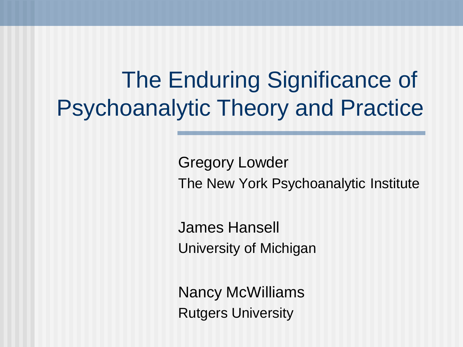The Enduring Significance of Psychoanalytic Theory and Practice

> Gregory Lowder The New York Psychoanalytic Institute

James Hansell University of Michigan

Nancy McWilliams Rutgers University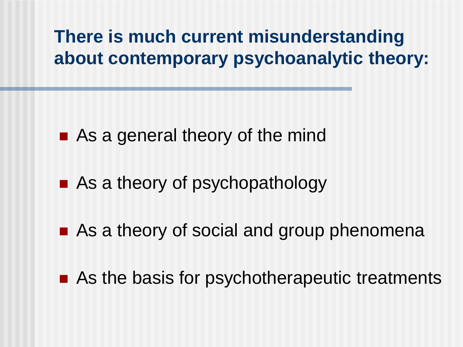#### **There is much current misunderstanding about contemporary psychoanalytic theory:**

- As a general theory of the mind
- As a theory of psychopathology
- As a theory of social and group phenomena
- As the basis for psychotherapeutic treatments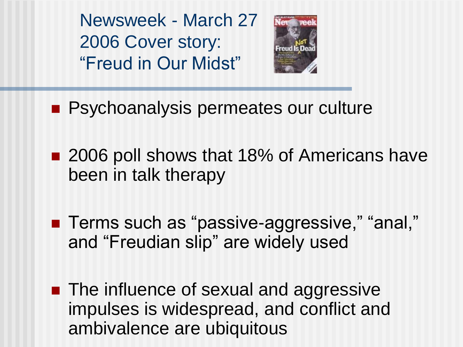Newsweek - March 27 2006 Cover story: "Freud in Our Midst"



- **Psychoanalysis permeates our culture**
- 2006 poll shows that 18% of Americans have been in talk therapy
- Terms such as "passive-aggressive," "anal," and "Freudian slip" are widely used
- **The influence of sexual and aggressive** impulses is widespread, and conflict and ambivalence are ubiquitous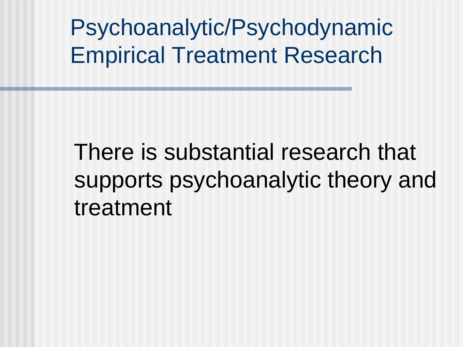Psychoanalytic/Psychodynamic Empirical Treatment Research

There is substantial research that supports psychoanalytic theory and treatment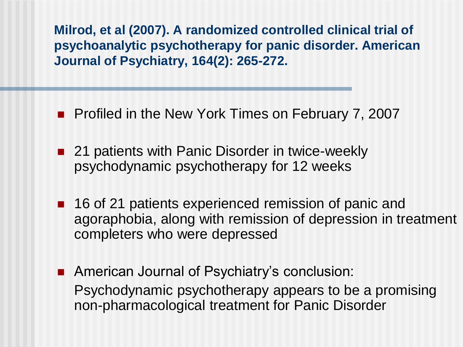**Milrod, et al (2007). A randomized controlled clinical trial of psychoanalytic psychotherapy for panic disorder. American Journal of Psychiatry, 164(2): 265-272.**

- **Profiled in the New York Times on February 7, 2007**
- 21 patients with Panic Disorder in twice-weekly psychodynamic psychotherapy for 12 weeks
- 16 of 21 patients experienced remission of panic and agoraphobia, along with remission of depression in treatment completers who were depressed
- **American Journal of Psychiatry's conclusion:** Psychodynamic psychotherapy appears to be a promising non-pharmacological treatment for Panic Disorder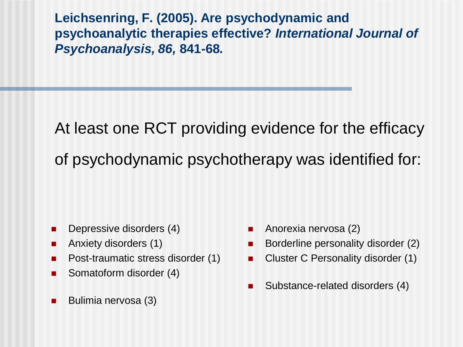**Leichsenring, F. (2005). Are psychodynamic and psychoanalytic therapies effective?** *International Journal of Psychoanalysis, 86,* **841-68***.*

At least one RCT providing evidence for the efficacy of psychodynamic psychotherapy was identified for:

- **Depressive disorders (4)**
- **Anxiety disorders (1)**
- **Post-traumatic stress disorder (1)**
- Somatoform disorder (4)
- **Bulimia nervosa (3)**
- Anorexia nervosa (2)
- Borderline personality disorder (2)
- Cluster C Personality disorder (1)
- Substance-related disorders (4)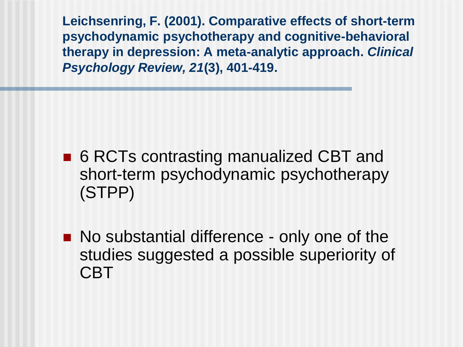**Leichsenring, F. (2001). Comparative effects of short-term psychodynamic psychotherapy and cognitive-behavioral therapy in depression: A meta-analytic approach.** *Clinical Psychology Review, 21***(3), 401-419.**

- 6 RCTs contrasting manualized CBT and short-term psychodynamic psychotherapy (STPP)
- No substantial difference only one of the studies suggested a possible superiority of CBT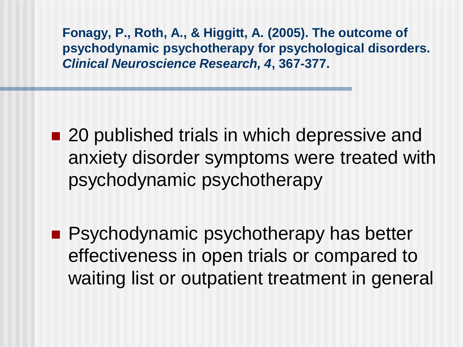**Fonagy, P., Roth, A., & Higgitt, A. (2005). The outcome of psychodynamic psychotherapy for psychological disorders.**  *Clinical Neuroscience Research, 4***, 367-377.**

- 20 published trials in which depressive and anxiety disorder symptoms were treated with psychodynamic psychotherapy
- **Psychodynamic psychotherapy has better** effectiveness in open trials or compared to waiting list or outpatient treatment in general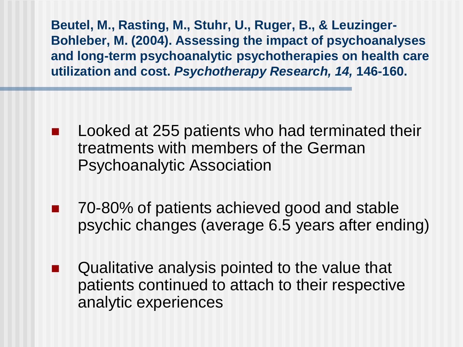**Beutel, M., Rasting, M., Stuhr, U., Ruger, B., & Leuzinger-Bohleber, M. (2004). Assessing the impact of psychoanalyses and long-term psychoanalytic psychotherapies on health care utilization and cost.** *Psychotherapy Research, 14,* **146-160.**

- Looked at 255 patients who had terminated their treatments with members of the German Psychoanalytic Association
- 70-80% of patients achieved good and stable psychic changes (average 6.5 years after ending)
- Qualitative analysis pointed to the value that patients continued to attach to their respective analytic experiences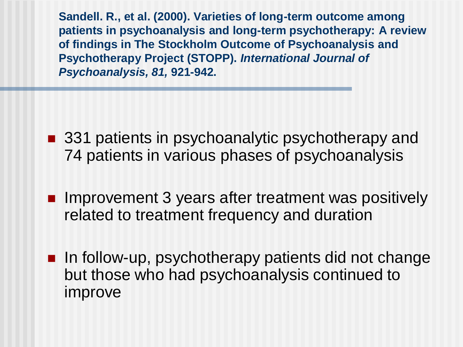**Sandell. R., et al. (2000). Varieties of long-term outcome among patients in psychoanalysis and long-term psychotherapy: A review of findings in The Stockholm Outcome of Psychoanalysis and Psychotherapy Project (STOPP).** *International Journal of Psychoanalysis, 81,* **921-942.**

- 331 patients in psychoanalytic psychotherapy and 74 patients in various phases of psychoanalysis
- **Improvement 3 years after treatment was positively** related to treatment frequency and duration
- **In follow-up, psychotherapy patients did not change** but those who had psychoanalysis continued to improve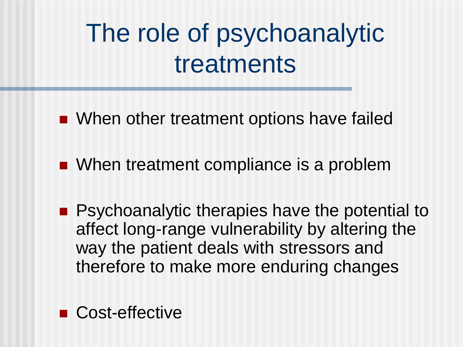# The role of psychoanalytic treatments

- When other treatment options have failed
- When treatment compliance is a problem
- **Pasychoanalytic therapies have the potential to** affect long-range vulnerability by altering the way the patient deals with stressors and therefore to make more enduring changes

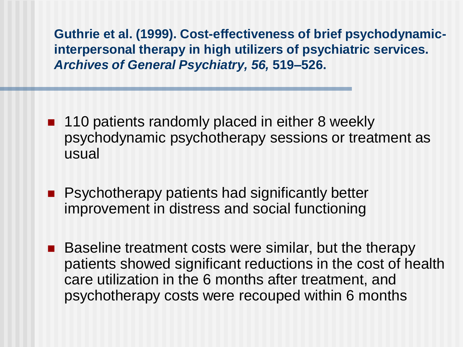**Guthrie et al. (1999). Cost-effectiveness of brief psychodynamicinterpersonal therapy in high utilizers of psychiatric services.**  *Archives of General Psychiatry, 56,* **519–526.**

- 110 patients randomly placed in either 8 weekly psychodynamic psychotherapy sessions or treatment as usual
- **Psychotherapy patients had significantly better** improvement in distress and social functioning
- Baseline treatment costs were similar, but the therapy patients showed significant reductions in the cost of health care utilization in the 6 months after treatment, and psychotherapy costs were recouped within 6 months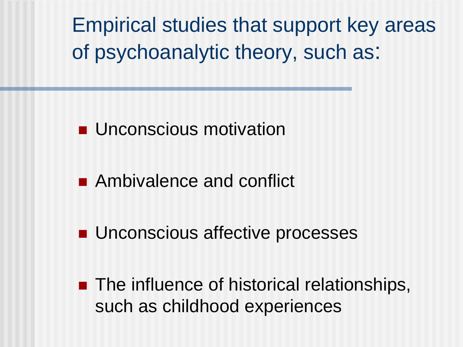Empirical studies that support key areas of psychoanalytic theory, such as:

**Unconscious motivation** 

- **Ambivalence and conflict**
- **Unconscious affective processes**

**The influence of historical relationships,** such as childhood experiences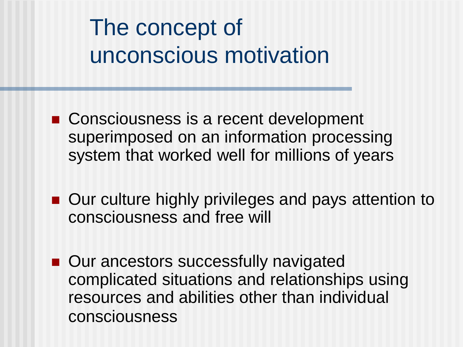### The concept of unconscious motivation

- Consciousness is a recent development superimposed on an information processing system that worked well for millions of years
- Our culture highly privileges and pays attention to consciousness and free will
- Our ancestors successfully navigated complicated situations and relationships using resources and abilities other than individual consciousness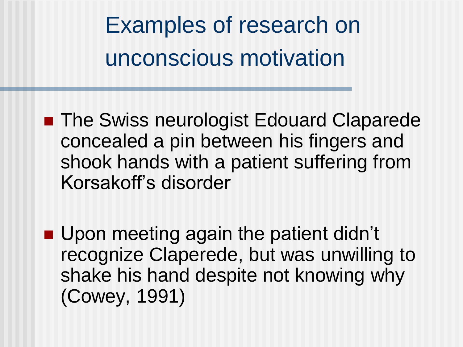Examples of research on unconscious motivation

■ The Swiss neurologist Edouard Claparede concealed a pin between his fingers and shook hands with a patient suffering from Korsakoff's disorder

**Upon meeting again the patient didn't** recognize Claperede, but was unwilling to shake his hand despite not knowing why (Cowey, 1991)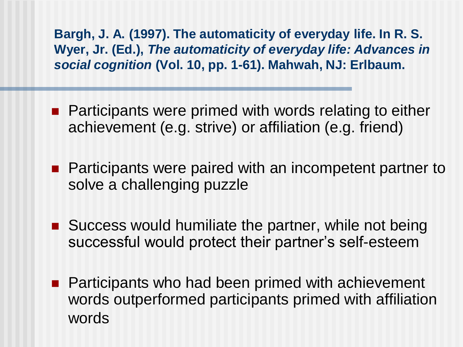**Bargh, J. A. (1997). The automaticity of everyday life. In R. S. Wyer, Jr. (Ed.),** *The automaticity of everyday life: Advances in social cognition* **(Vol. 10, pp. 1-61). Mahwah, NJ: Erlbaum.**

- Participants were primed with words relating to either achievement (e.g. strive) or affiliation (e.g. friend)
- **Participants were paired with an incompetent partner to** solve a challenging puzzle
- Success would humiliate the partner, while not being successful would protect their partner's self-esteem
- Participants who had been primed with achievement words outperformed participants primed with affiliation words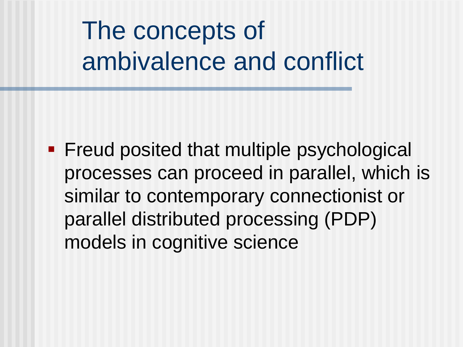## The concepts of ambivalence and conflict

**Figure 1.5 Figure 1.5 Figure 1.5 Figure 1.5 Figure 1.5 Figure 1.5 Figure 1.5 Figure 1.5 Figure 1.5 Figure 1.5 Figure 1.5 Figure 1.5 Figure 1.5 Figure 1.5 Figure 1.5 Figure 1.5 Figure 1.5 Figure 1.5 Figure 1.5 Figure 1.5 F** processes can proceed in parallel, which is similar to contemporary connectionist or parallel distributed processing (PDP) models in cognitive science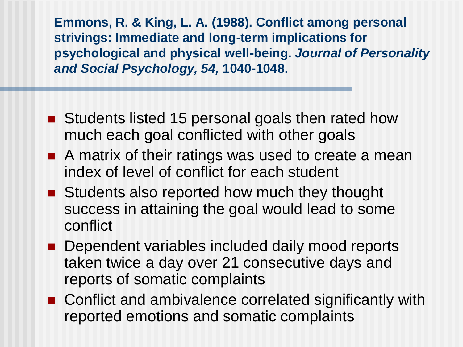**Emmons, R. & King, L. A. (1988). Conflict among personal strivings: Immediate and long-term implications for psychological and physical well-being.** *Journal of Personality and Social Psychology, 54,* **1040-1048.**

- Students listed 15 personal goals then rated how much each goal conflicted with other goals
- A matrix of their ratings was used to create a mean index of level of conflict for each student
- Students also reported how much they thought success in attaining the goal would lead to some conflict
- **Dependent variables included daily mood reports** taken twice a day over 21 consecutive days and reports of somatic complaints
- Conflict and ambivalence correlated significantly with reported emotions and somatic complaints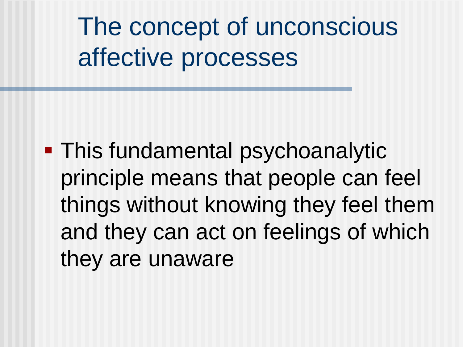The concept of unconscious affective processes

**- This fundamental psychoanalytic** principle means that people can feel things without knowing they feel them and they can act on feelings of which they are unaware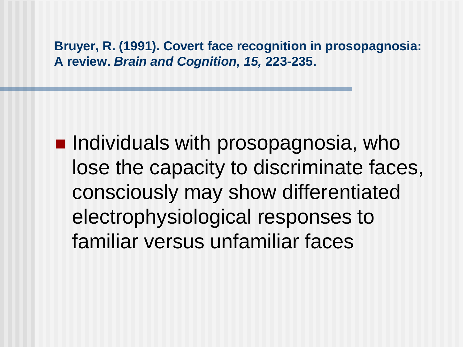**Bruyer, R. (1991). Covert face recognition in prosopagnosia: A review.** *Brain and Cognition, 15,* **223-235.**

 $\blacksquare$  Individuals with prosopagnosia, who lose the capacity to discriminate faces, consciously may show differentiated electrophysiological responses to familiar versus unfamiliar faces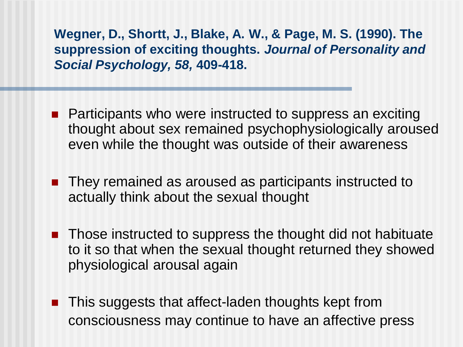**Wegner, D., Shortt, J., Blake, A. W., & Page, M. S. (1990). The suppression of exciting thoughts.** *Journal of Personality and Social Psychology, 58,* **409-418.**

- **Participants who were instructed to suppress an exciting** thought about sex remained psychophysiologically aroused even while the thought was outside of their awareness
- They remained as aroused as participants instructed to actually think about the sexual thought
- **Those instructed to suppress the thought did not habituate** to it so that when the sexual thought returned they showed physiological arousal again
- **This suggests that affect-laden thoughts kept from** consciousness may continue to have an affective press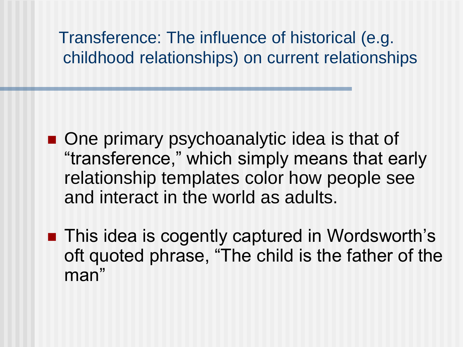#### Transference: The influence of historical (e.g. childhood relationships) on current relationships

- One primary psychoanalytic idea is that of "transference," which simply means that early relationship templates color how people see and interact in the world as adults.
- This idea is cogently captured in Wordsworth's oft quoted phrase, "The child is the father of the man"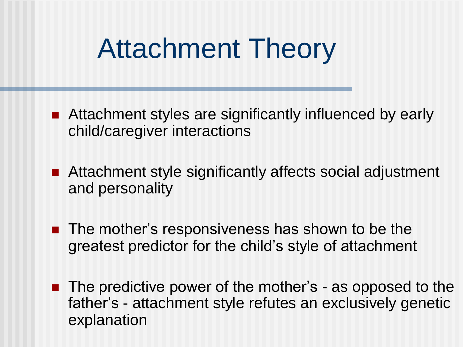# Attachment Theory

- Attachment styles are significantly influenced by early child/caregiver interactions
- Attachment style significantly affects social adjustment and personality
- **The mother's responsiveness has shown to be the** greatest predictor for the child's style of attachment
- The predictive power of the mother's as opposed to the father's - attachment style refutes an exclusively genetic explanation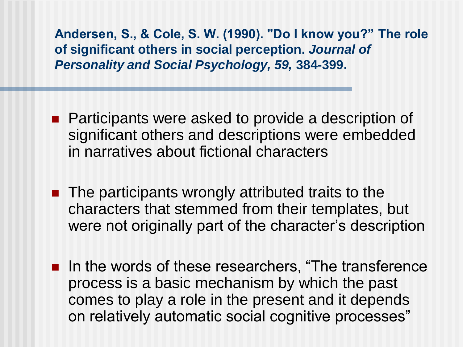**Andersen, S., & Cole, S. W. (1990). "Do I know you?" The role of significant others in social perception.** *Journal of Personality and Social Psychology, 59,* **384-399.**

- **Participants were asked to provide a description of** significant others and descriptions were embedded in narratives about fictional characters
- The participants wrongly attributed traits to the characters that stemmed from their templates, but were not originally part of the character's description
- **IF In the words of these researchers, "The transference"** process is a basic mechanism by which the past comes to play a role in the present and it depends on relatively automatic social cognitive processes"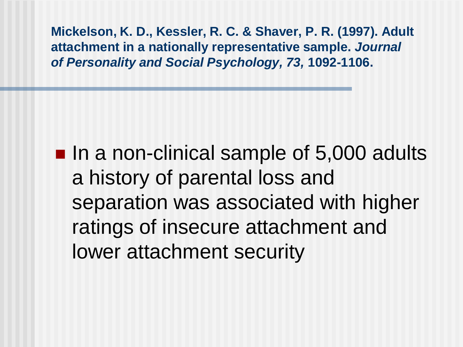**Mickelson, K. D., Kessler, R. C. & Shaver, P. R. (1997). Adult attachment in a nationally representative sample.** *Journal of Personality and Social Psychology, 73,* **1092-1106.**

■ In a non-clinical sample of 5,000 adults a history of parental loss and separation was associated with higher ratings of insecure attachment and lower attachment security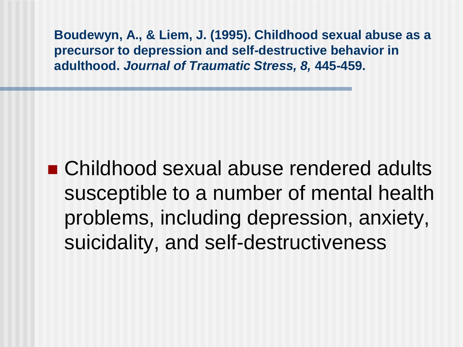**Boudewyn, A., & Liem, J. (1995). Childhood sexual abuse as a precursor to depression and self-destructive behavior in adulthood.** *Journal of Traumatic Stress, 8,* **445-459.**

■ Childhood sexual abuse rendered adults susceptible to a number of mental health problems, including depression, anxiety, suicidality, and self-destructiveness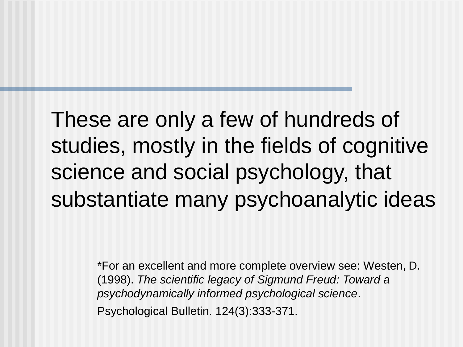These are only a few of hundreds of studies, mostly in the fields of cognitive science and social psychology, that substantiate many psychoanalytic ideas

> \*For an excellent and more complete overview see: Westen, D. (1998). *The scientific legacy of Sigmund Freud: Toward a psychodynamically informed psychological science*. Psychological Bulletin. 124(3):333-371.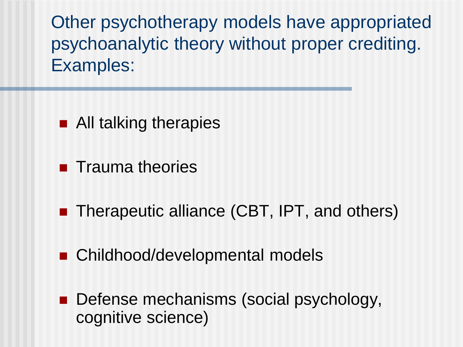Other psychotherapy models have appropriated psychoanalytic theory without proper crediting. Examples:

- All talking therapies
- $\blacksquare$  Trauma theories
- Therapeutic alliance (CBT, IPT, and others)
- Childhood/developmental models
- Defense mechanisms (social psychology, cognitive science)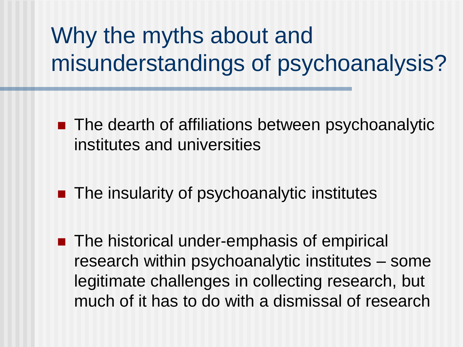### Why the myths about and misunderstandings of psychoanalysis?

- The dearth of affiliations between psychoanalytic institutes and universities
- The insularity of psychoanalytic institutes
- The historical under-emphasis of empirical research within psychoanalytic institutes – some legitimate challenges in collecting research, but much of it has to do with a dismissal of research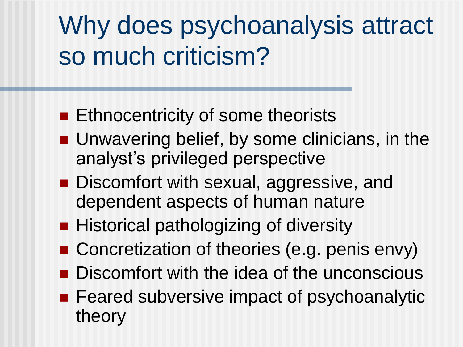# Why does psychoanalysis attract so much criticism?

- **Ethnocentricity of some theorists**
- Unwavering belief, by some clinicians, in the analyst's privileged perspective
- Discomfort with sexual, aggressive, and dependent aspects of human nature
- Historical pathologizing of diversity
- Concretization of theories (e.g. penis envy)
- Discomfort with the idea of the unconscious
- Feared subversive impact of psychoanalytic theory